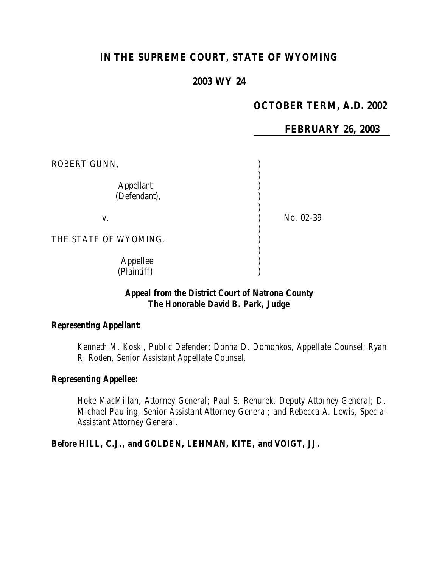# **IN THE SUPREME COURT, STATE OF WYOMING**

# **2003 WY 24**

## **OCTOBER TERM, A.D. 2002**

**FEBRUARY 26, 2003**

| ROBERT GUNN,              |           |
|---------------------------|-----------|
| Appellant<br>(Defendant), |           |
| V.                        | No. 02-39 |
| THE STATE OF WYOMING,     |           |
| Appellee<br>(Plaintiff).  |           |

## *Appeal from the District Court of Natrona County The Honorable David B. Park, Judge*

#### *Representing Appellant:*

*Kenneth M. Koski, Public Defender; Donna D. Domonkos, Appellate Counsel; Ryan R. Roden, Senior Assistant Appellate Counsel.*

### *Representing Appellee:*

*Hoke MacMillan, Attorney General; Paul S. Rehurek, Deputy Attorney General; D. Michael Pauling, Senior Assistant Attorney General; and Rebecca A. Lewis, Special Assistant Attorney General.*

*Before HILL, C.J., and GOLDEN, LEHMAN, KITE, and VOIGT, JJ.*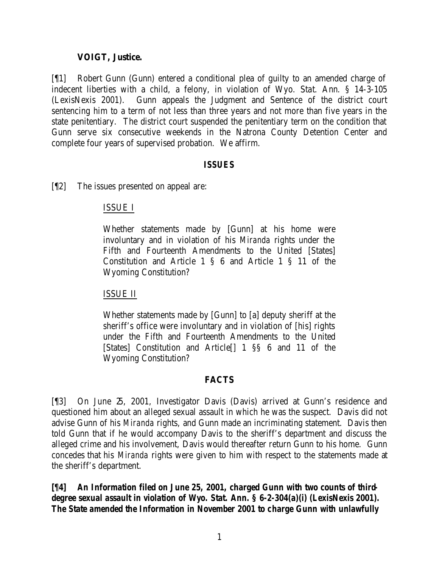### **VOIGT, Justice.**

[¶1] Robert Gunn (Gunn) entered a conditional plea of guilty to an amended charge of indecent liberties with a child, a felony, in violation of Wyo. Stat. Ann. § 14-3-105 (LexisNexis 2001). Gunn appeals the Judgment and Sentence of the district court sentencing him to a term of not less than three years and not more than five years in the state penitentiary. The district court suspended the penitentiary term on the condition that Gunn serve six consecutive weekends in the Natrona County Detention Center and complete four years of supervised probation. We affirm.

### *ISSUES*

[¶2] The issues presented on appeal are:

## ISSUE I

Whether statements made by [Gunn] at his home were involuntary and in violation of his *Miranda* rights under the Fifth and Fourteenth Amendments to the United [States] Constitution and Article 1 § 6 and Article 1 § 11 of the Wyoming Constitution?

#### ISSUE II

Whether statements made by [Gunn] to [a] deputy sheriff at the sheriff's office were involuntary and in violation of [his] rights under the Fifth and Fourteenth Amendments to the United [States] Constitution and Article[] 1 §§ 6 and 11 of the Wyoming Constitution?

## **FACTS**

[¶3] On June 25, 2001, Investigator Davis (Davis) arrived at Gunn's residence and questioned him about an alleged sexual assault in which he was the suspect. Davis did not advise Gunn of his *Miranda* rights, and Gunn made an incriminating statement. Davis then told Gunn that if he would accompany Davis to the sheriff's department and discuss the alleged crime and his involvement, Davis would thereafter return Gunn to his home. Gunn concedes that his *Miranda* rights were given to him with respect to the statements made at the sheriff's department.

*[¶4] An Information filed on June 25, 2001, charged Gunn with two counts of thirddegree sexual assault in violation of Wyo. Stat. Ann. § 6-2-304(a)(i) (LexisNexis 2001). The State amended the Information in November 2001 to charge Gunn with unlawfully*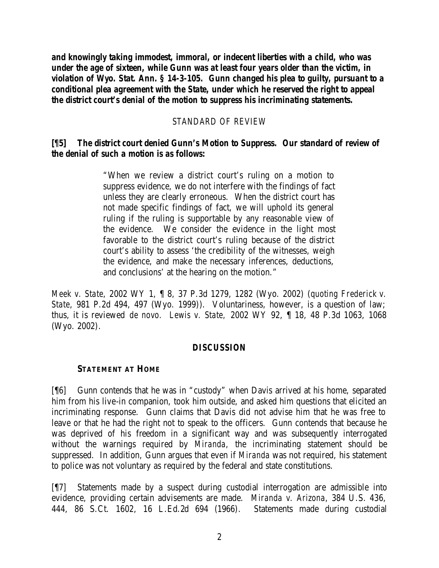*and knowingly taking immodest, immoral, or indecent liberties with a child, who was under the age of sixteen, while Gunn was at least four years older than the victim, in violation of Wyo. Stat. Ann. § 14-3-105. Gunn changed his plea to guilty, pursuant to a conditional plea agreement with the State, under which he reserved the right to appeal the district court's denial of the motion to suppress his incriminating statements.*

### *STANDARD OF REVIEW*

### *[¶5] The district court denied Gunn's Motion to Suppress. Our standard of review of the denial of such a motion is as follows:*

"When we review a district court's ruling on a motion to suppress evidence, we do not interfere with the findings of fact unless they are clearly erroneous. When the district court has not made specific findings of fact, we will uphold its general ruling if the ruling is supportable by any reasonable view of the evidence. We consider the evidence in the light most favorable to the district court's ruling because of the district court's ability to assess 'the credibility of the witnesses, weigh the evidence, and make the necessary inferences, deductions, and conclusions' at the hearing on the motion."

*Meek v. State*, 2002 WY 1, ¶ 8, 37 P.3d 1279, 1282 (Wyo. 2002) (*quoting Frederick v. State*, 981 P.2d 494, 497 (Wyo. 1999)). Voluntariness, however, is a question of law; thus, it is reviewed *de novo. Lewis v. State,* 2002 WY 92, ¶ 18, 48 P.3d 1063, 1068 (Wyo. 2002).

#### *DISCUSSION*

#### **STATEMENT AT HOME**

[¶6] Gunn contends that he was in "custody" when Davis arrived at his home, separated him from his live-in companion, took him outside, and asked him questions that elicited an incriminating response. Gunn claims that Davis did not advise him that he was free to leave or that he had the right not to speak to the officers. Gunn contends that because he was deprived of his freedom in a significant way and was subsequently interrogated without the warnings required by *Miranda*, the incriminating statement should be suppressed. In addition, Gunn argues that even if *Miranda* was not required, his statement to police was not voluntary as required by the federal and state constitutions.

[¶7] Statements made by a suspect during custodial interrogation are admissible into evidence, providing certain advisements are made. *Miranda v. Arizona*, 384 U.S. 436, 444, 86 S.Ct. 1602, 16 L.Ed.2d 694 (1966). Statements made during custodial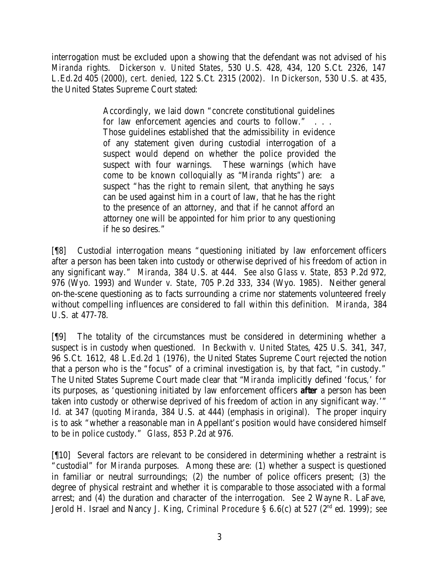interrogation must be excluded upon a showing that the defendant was not advised of his *Miranda* rights. *Dickerson v. United States*, 530 U.S. 428, 434, 120 S.Ct. 2326, 147 L.Ed.2d 405 (2000), *cert. denied*, 122 S.Ct. 2315 (2002). In *Dickerson*, 530 U.S. at 435, the United States Supreme Court stated:

> Accordingly, we laid down "concrete constitutional guidelines for law enforcement agencies and courts to follow." . . . Those guidelines established that the admissibility in evidence of any statement given during custodial interrogation of a suspect would depend on whether the police provided the suspect with four warnings. These warnings (which have come to be known colloquially as "*Miranda* rights") are: a suspect "has the right to remain silent, that anything he says can be used against him in a court of law, that he has the right to the presence of an attorney, and that if he cannot afford an attorney one will be appointed for him prior to any questioning if he so desires."

[¶8] Custodial interrogation means "questioning initiated by law enforcement officers after a person has been taken into custody or otherwise deprived of his freedom of action in any significant way." *Miranda*, 384 U.S. at 444. *See also Glass v. State*, 853 P.2d 972, 976 (Wyo. 1993) and *Wunder v. State*, 705 P.2d 333, 334 (Wyo. 1985). Neither general on-the-scene questioning as to facts surrounding a crime nor statements volunteered freely without compelling influences are considered to fall within this definition. *Miranda*, 384 U.S. at 477-78.

[¶9] The totality of the circumstances must be considered in determining whether a suspect is in custody when questioned. In *Beckwith v. United States*, 425 U.S. 341, 347, 96 S.Ct. 1612, 48 L.Ed.2d 1 (1976), the United States Supreme Court rejected the notion that a person who is the "focus" of a criminal investigation is, by that fact, "in custody." The United States Supreme Court made clear that "*Miranda* implicitly defined 'focus,' for its purposes, as 'questioning initiated by law enforcement officers *after* a person has been taken into custody or otherwise deprived of his freedom of action in any significant way.'" *Id.* at 347 (*quoting Miranda*, 384 U.S. at 444) (emphasis in original). The proper inquiry is to ask "whether a reasonable man in Appellant's position would have considered himself to be in police custody." *Glass*, 853 P.2d at 976.

[¶10] Several factors are relevant to be considered in determining whether a restraint is "custodial" for *Miranda* purposes. Among these are: (1) whether a suspect is questioned in familiar or neutral surroundings; (2) the number of police officers present; (3) the degree of physical restraint and whether it is comparable to those associated with a formal arrest; and (4) the duration and character of the interrogation. *See* 2 Wayne R. LaFave, Jerold H. Israel and Nancy J. King, *Criminal Procedure* § 6.6(c) at 527 (2<sup>nd</sup> ed. 1999); *see*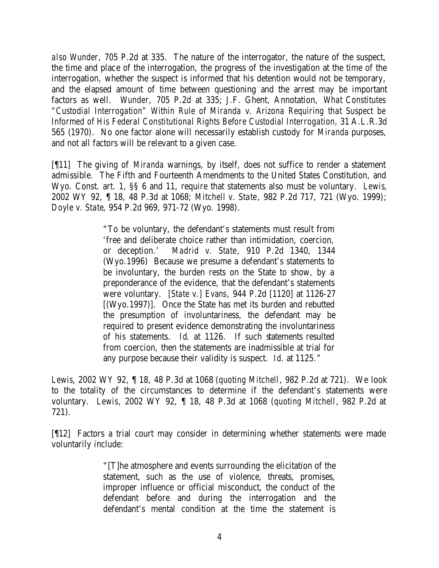*also Wunder*, 705 P.2d at 335. The nature of the interrogator, the nature of the suspect, the time and place of the interrogation, the progress of the investigation at the time of the interrogation, whether the suspect is informed that his detention would not be temporary, and the elapsed amount of time between questioning and the arrest may be important factors as well. *Wunder*, 705 P.2d at 335; J.F. Ghent, Annotation, *What Constitutes "Custodial Interrogation" Within Rule of Miranda v. Arizona Requiring that Suspect be Informed of His Federal Constitutional Rights Before Custodial Interrogation,* 31 A.L.R.3d 565 (1970). No one factor alone will necessarily establish custody for *Miranda* purposes, and not all factors will be relevant to a given case.

[¶11] The giving of *Miranda* warnings, by itself, does not suffice to render a statement admissible. The Fifth and Fourteenth Amendments to the United States Constitution, and Wyo. Const. art. 1, §§ 6 and 11, require that statements also must be voluntary. *Lewis*, 2002 WY 92, ¶ 18, 48 P.3d at 1068; *Mitchell v. State*, 982 P.2d 717, 721 (Wyo. 1999); *Doyle v. State*, 954 P.2d 969, 971-72 (Wyo. 1998).

> "To be voluntary, the defendant's statements must result from 'free and deliberate choice rather than intimidation, coercion, or deception.' *Madrid v. State*, 910 P.2d 1340, 1344 (Wyo.1996) Because we presume a defendant's statements to be involuntary, the burden rests on the State to show, by a preponderance of the evidence, that the defendant's statements were voluntary. *[State v.] Evans*, 944 P.2d [1120] at 1126-27 [(Wyo.1997)]. Once the State has met its burden and rebutted the presumption of involuntariness, the defendant may be required to present evidence demonstrating the involuntariness of his statements. *Id*. at 1126. If such statements resulted from coercion, then the statements are inadmissible at trial for any purpose because their validity is suspect. *Id*. at 1125."

*Lewis*, 2002 WY 92, ¶ 18, 48 P.3d at 1068 (*quoting Mitchell*, 982 P.2d at 721). We look to the totality of the circumstances to determine if the defendant's statements were voluntary. *Lewis*, 2002 WY 92, ¶ 18, 48 P.3d at 1068 (*quoting Mitchell*, 982 P.2d at 721).

[¶12] Factors a trial court may consider in determining whether statements were made voluntarily include:

> "[T]he atmosphere and events surrounding the elicitation of the statement, such as the use of violence, threats, promises, improper influence or official misconduct, the conduct of the defendant before and during the interrogation and the defendant's mental condition at the time the statement is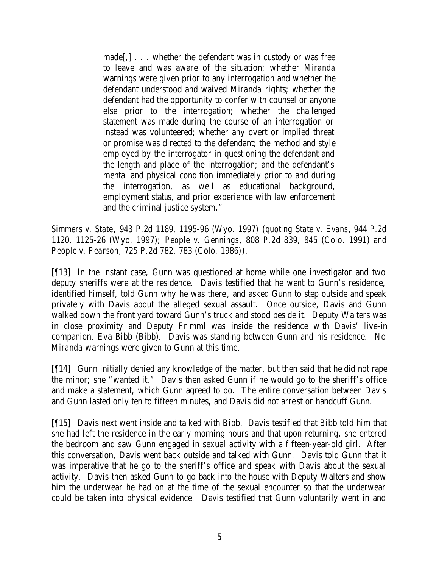made[,] . . . whether the defendant was in custody or was free to leave and was aware of the situation; whether *Miranda*  warnings were given prior to any interrogation and whether the defendant understood and waived *Miranda* rights*;* whether the defendant had the opportunity to confer with counsel or anyone else prior to the interrogation; whether the challenged statement was made during the course of an interrogation or instead was volunteered; whether any overt or implied threat or promise was directed to the defendant; the method and style employed by the interrogator in questioning the defendant and the length and place of the interrogation; and the defendant's mental and physical condition immediately prior to and during the interrogation, as well as educational background, employment status, and prior experience with law enforcement and the criminal justice system."

*Simmers v. State*, 943 P.2d 1189, 1195-96 (Wyo. 1997) (*quoting State v. Evans*, 944 P.2d 1120, 1125-26 (Wyo. 1997); *People v. Gennings*, 808 P.2d 839, 845 (Colo. 1991) and *People v. Pearson*, 725 P.2d 782, 783 (Colo. 1986)).

[¶13] In the instant case, Gunn was questioned at home while one investigator and two deputy sheriffs were at the residence. Davis testified that he went to Gunn's residence, identified himself, told Gunn why he was there, and asked Gunn to step outside and speak privately with Davis about the alleged sexual assault. Once outside, Davis and Gunn walked down the front yard toward Gunn's truck and stood beside it. Deputy Walters was in close proximity and Deputy Frimml was inside the residence with Davis' live-in companion, Eva Bibb (Bibb). Davis was standing between Gunn and his residence. No *Miranda* warnings were given to Gunn at this time.

[¶14] Gunn initially denied any knowledge of the matter, but then said that he did not rape the minor; she "wanted it." Davis then asked Gunn if he would go to the sheriff's office and make a statement, which Gunn agreed to do. The entire conversation between Davis and Gunn lasted only ten to fifteen minutes, and Davis did not arrest or handcuff Gunn.

[¶15] Davis next went inside and talked with Bibb. Davis testified that Bibb told him that she had left the residence in the early morning hours and that upon returning, she entered the bedroom and saw Gunn engaged in sexual activity with a fifteen-year-old girl. After this conversation, Davis went back outside and talked with Gunn. Davis told Gunn that it was imperative that he go to the sheriff's office and speak with Davis about the sexual activity. Davis then asked Gunn to go back into the house with Deputy Walters and show him the underwear he had on at the time of the sexual encounter so that the underwear could be taken into physical evidence. Davis testified that Gunn voluntarily went in and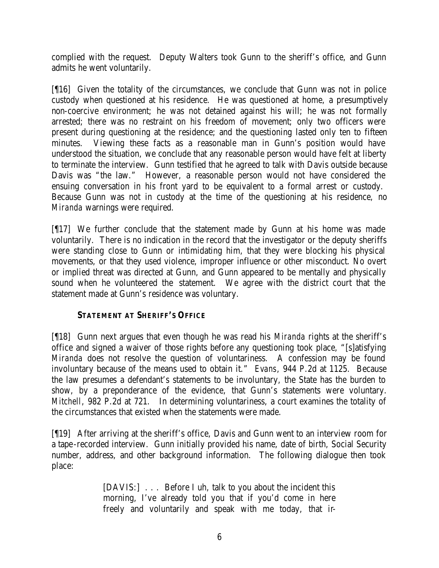complied with the request. Deputy Walters took Gunn to the sheriff's office, and Gunn admits he went voluntarily.

[¶16] Given the totality of the circumstances, we conclude that Gunn was not in police custody when questioned at his residence. He was questioned at home, a presumptively non-coercive environment; he was not detained against his will; he was not formally arrested; there was no restraint on his freedom of movement; only two officers were present during questioning at the residence; and the questioning lasted only ten to fifteen minutes. Viewing these facts as a reasonable man in Gunn's position would have understood the situation, we conclude that any reasonable person would have felt at liberty to terminate the interview. Gunn testified that he agreed to talk with Davis outside because Davis was "the law." However, a reasonable person would not have considered the ensuing conversation in his front yard to be equivalent to a formal arrest or custody. Because Gunn was not in custody at the time of the questioning at his residence, no *Miranda* warnings were required.

[¶17] We further conclude that the statement made by Gunn at his home was made voluntarily. There is no indication in the record that the investigator or the deputy sheriffs were standing close to Gunn or intimidating him, that they were blocking his physical movements, or that they used violence, improper influence or other misconduct. No overt or implied threat was directed at Gunn, and Gunn appeared to be mentally and physically sound when he volunteered the statement. We agree with the district court that the statement made at Gunn's residence was voluntary.

## **STATEMENT AT SHERIFF'S OFFICE**

[¶18] Gunn next argues that even though he was read his *Miranda* rights at the sheriff's office and signed a waiver of those rights before any questioning took place, "[s]atisfying *Miranda* does not resolve the question of voluntariness. A confession may be found involuntary because of the means used to obtain it." *Evans*, 944 P.2d at 1125. Because the law presumes a defendant's statements to be involuntary, the State has the burden to show, by a preponderance of the evidence, that Gunn's statements were voluntary. *Mitchell*, 982 P.2d at 721. In determining voluntariness, a court examines the totality of the circumstances that existed when the statements were made.

[¶19] After arriving at the sheriff's office, Davis and Gunn went to an interview room for a tape-recorded interview. Gunn initially provided his name, date of birth, Social Security number, address, and other background information. The following dialogue then took place:

> [DAVIS:] . . . Before I uh, talk to you about the incident this morning, I've already told you that if you'd come in here freely and voluntarily and speak with me today, that ir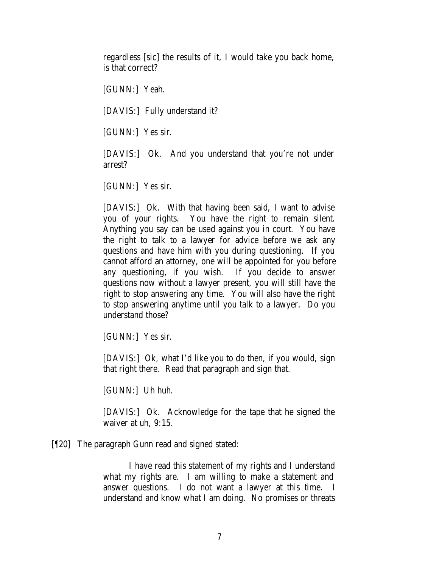regardless [sic] the results of it, I would take you back home, is that correct?

[GUNN:] Yeah.

[DAVIS:] Fully understand it?

[GUNN:] Yes sir.

[DAVIS:] Ok. And you understand that you're not under arrest?

[GUNN:] Yes sir.

[DAVIS:] Ok. With that having been said, I want to advise you of your rights. You have the right to remain silent. Anything you say can be used against you in court. You have the right to talk to a lawyer for advice before we ask any questions and have him with you during questioning. If you cannot afford an attorney, one will be appointed for you before any questioning, if you wish. If you decide to answer questions now without a lawyer present, you will still have the right to stop answering any time. You will also have the right to stop answering anytime until you talk to a lawyer. Do you understand those?

[GUNN:] Yes sir.

[DAVIS:] Ok, what I'd like you to do then, if you would, sign that right there. Read that paragraph and sign that.

[GUNN:] Uh huh.

[DAVIS:] Ok. Acknowledge for the tape that he signed the waiver at uh, 9:15.

#### [¶20] The paragraph Gunn read and signed stated:

I have read this statement of my rights and I understand what my rights are. I am willing to make a statement and answer questions. I do not want a lawyer at this time. I understand and know what I am doing. No promises or threats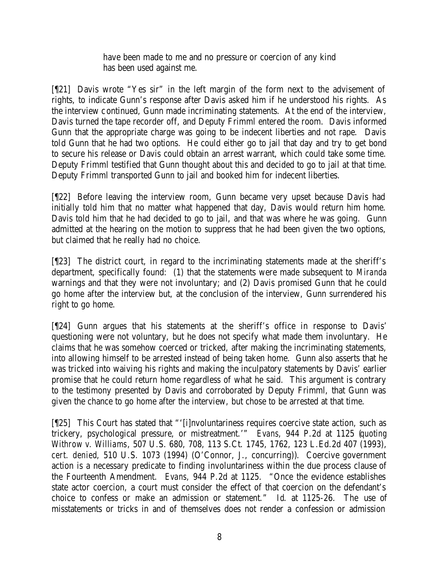have been made to me and no pressure or coercion of any kind has been used against me.

[¶21] Davis wrote "Yes sir" in the left margin of the form next to the advisement of rights, to indicate Gunn's response after Davis asked him if he understood his rights. As the interview continued, Gunn made incriminating statements. At the end of the interview, Davis turned the tape recorder off, and Deputy Frimml entered the room. Davis informed Gunn that the appropriate charge was going to be indecent liberties and not rape. Davis told Gunn that he had two options. He could either go to jail that day and try to get bond to secure his release or Davis could obtain an arrest warrant, which could take some time. Deputy Frimml testified that Gunn thought about this and decided to go to jail at that time. Deputy Frimml transported Gunn to jail and booked him for indecent liberties.

[¶22] Before leaving the interview room, Gunn became very upset because Davis had initially told him that no matter what happened that day, Davis would return him home. Davis told him that he had decided to go to jail, and that was where he was going. Gunn admitted at the hearing on the motion to suppress that he had been given the two options, but claimed that he really had no choice.

[¶23] The district court, in regard to the incriminating statements made at the sheriff's department, specifically found: (1) that the statements were made subsequent to *Miranda* warnings and that they were not involuntary; and (2) Davis promised Gunn that he could go home after the interview but, at the conclusion of the interview, Gunn surrendered his right to go home.

[¶24] Gunn argues that his statements at the sheriff's office in response to Davis' questioning were not voluntary, but he does not specify what made them involuntary. He claims that he was somehow coerced or tricked, after making the incriminating statements, into allowing himself to be arrested instead of being taken home. Gunn also asserts that he was tricked into waiving his rights and making the inculpatory statements by Davis' earlier promise that he could return home regardless of what he said. This argument is contrary to the testimony presented by Davis and corroborated by Deputy Frimml, that Gunn was given the chance to go home after the interview, but chose to be arrested at that time.

[¶25] This Court has stated that "'[i]nvoluntariness requires coercive state action, such as trickery, psychological pressure, or mistreatment.'" *Evans*, 944 P.2d at 1125 (*quoting Withrow v. Williams*, 507 U.S. 680, 708, 113 S.Ct. 1745, 1762, 123 L.Ed.2d 407 (1993), *cert. denied*, 510 U.S. 1073 (1994) (O'Connor, J., concurring)). Coercive government action is a necessary predicate to finding involuntariness within the due process clause of the Fourteenth Amendment. *Evans*, 944 P.2d at 1125. "Once the evidence establishes state actor coercion, a court must consider the effect of that coercion on the defendant's choice to confess or make an admission or statement." *Id*. at 1125-26. The use of misstatements or tricks in and of themselves does not render a confession or admission